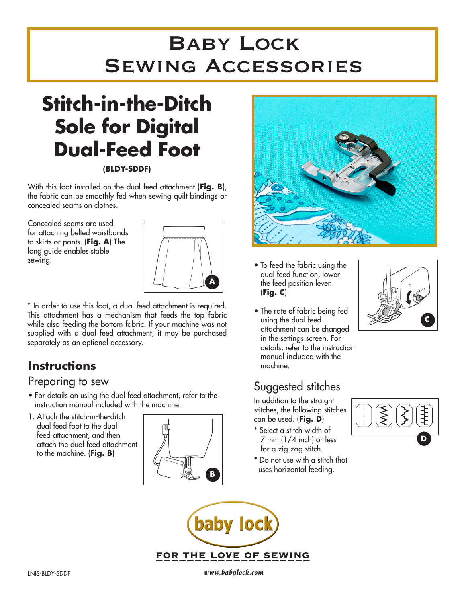## Baby Lock Sewing Accessories

# **Stitch-in-the-Ditch Sole for Digital Dual-Feed Foot**

#### **(BLDY-SDDF)**

With this foot installed on the dual feed attachment (**Fig. B**), the fabric can be smoothly fed when sewing quilt bindings or concealed seams on clothes.

Concealed seams are used for attaching belted waistbands to skirts or pants. (**Fig. A**) The long guide enables stable sewing.



\* In order to use this foot, a dual feed attachment is required. This attachment has a mechanism that feeds the top fabric while also feeding the bottom fabric. If your machine was not supplied with a dual feed attachment, it may be purchased separately as an optional accessory.

### **Instructions**

### Preparing to sew

- For details on using the dual feed attachment, refer to the instruction manual included with the machine.
- 1. Attach the stitch-in-the-ditch dual feed foot to the dual feed attachment, and then attach the dual feed attachment to the machine. (**Fig. B**)





- To feed the fabric using the dual feed function, lower the feed position lever. (**Fig. C**)
- The rate of fabric being fed using the dual feed attachment can be changed in the settings screen. For details, refer to the instruction manual included with the machine.

## Suggested stitches

In addition to the straight stitches, the following stitches can be used. (**Fig. D**)

- \* Select a stitch width of 7 mm (1/4 inch) or less for a zig-zag stitch.
- \* Do not use with a stitch that uses horizontal feeding.



**C**



LNIS-BLDY-SDDF *www.babylock.com*